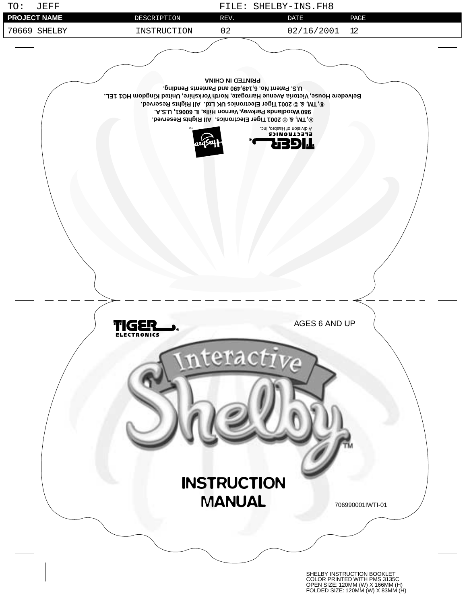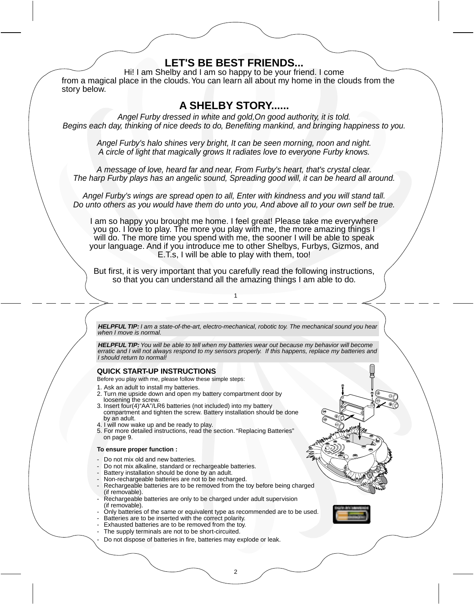## **QUICK START-UP INSTRUCTIONS** Before you play with me, please follow these simple steps: 1. Ask an adult to install my batteries. 2. Turn me upside down and open my battery compartment door by loosening the screw. 3. Insert four(4)"AA"/LR6 batteries (not included) into my battery compartment and tighten the screw. Battery installation should be done by an adult. 4. I will now wake up and be ready to play. 5. For more detailed instructions, read the section. "Replacing Batteries" on page 9. **To ensure proper function :** - Do not mix old and new batteries. - Do not mix alkaline, standard or rechargeable batteries. - Battery installation should be done by an adult. Non-rechargeable batteries are not to be recharged. - Rechargeable batteries are to be removed from the toy before being charged (if removable). Rechargeable batteries are only to be charged under adult supervision (if removable). - Only batteries of the same or equivalent type as recommended are to be used. Batteries are to be inserted with the correct polarity. Exhausted batteries are to be removed from the toy. The supply terminals are not to be short-circuited. Do not dispose of batteries in fire, batteries may explode or leak. **LET'S BE BEST FRIENDS...** Hi! I am Shelby and I am so happy to be your friend. I come from a magical place in the clouds. You can learn all about my home in the clouds from the story below. **A SHELBY STORY......** Angel Furby dressed in white and gold,On good authority, it is told. Begins each day, thinking of nice deeds to do, Benefiting mankind, and bringing happiness to you. Angel Furby's halo shines very bright, It can be seen morning, noon and night. A circle of light that magically grows It radiates love to everyone Furby knows. A message of love, heard far and near, From Furby's heart, that's crystal clear. The harp Furby plays has an angelic sound, Spreading good will, it can be heard all around. Angel Furby's wings are spread open to all, Enter with kindness and you will stand tall. Do unto others as you would have them do unto you, And above all to your own self be true. I am so happy you brought me home. I feel great! Please take me everywhere you go. I love to play. The more you play with me, the more amazing things I will do. The more time you spend with me, the sooner I will be able to speak your language. And if you introduce me to other Shelbys, Furbys, Gizmos, and E.T.s, I will be able to play with them, too! But first, it is very important that you carefully read the following instructions, so that you can understand all the amazing things I am able to do. 1 2 **HELPFUL TIP:** I am a state-of-the-art, electro-mechanical, robotic toy. The mechanical sound you hear when I move is normal. **HELPFUL TIP:** You will be able to tell when my batteries wear out because my behavior will become erratic and I will not always respond to my sensors properly. If this happens, replace my batteries and I should return to normal!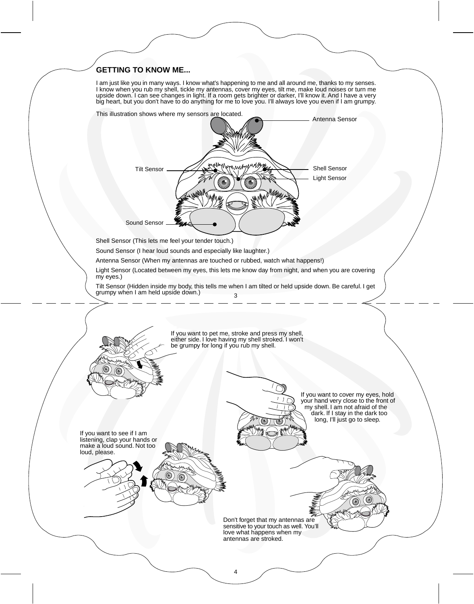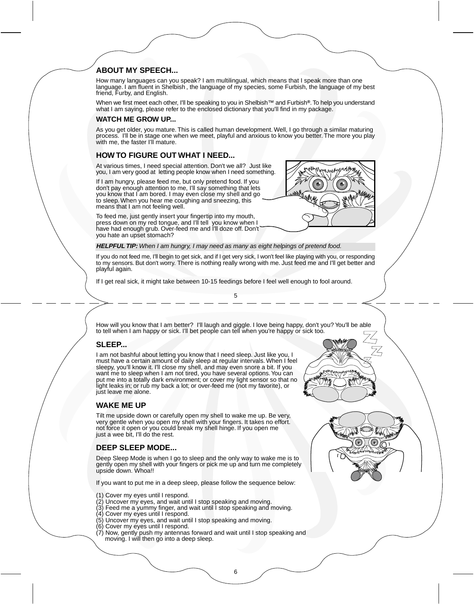### **ABOUT MY SPEECH...**

How many languages can you speak? I am multilingual, which means that I speak more than one language. I am fluent in Shelbish , the language of my species, some Furbish, the language of my best friend, Furby, and English.

When we first meet each other, I'll be speaking to you in Shelbish™ and Furbish**®**. To help you understand what I am saying, please refer to the enclosed dictionary that you'll find in my package.

#### **WATCH ME GROW UP...**

As you get older, you mature. This is called human development. Well, I go through a similar maturing process. I'll be in stage one when we meet, playful and anxious to know you better. The more you play with me, the faster I'll mature.

#### **HOW TO FIGURE OUT WHAT I NEED...**

At various times, I need special attention. Don't we all? Just like you, I am very good at letting people know when I need something.

If I am hungry, please feed me, but only pretend food. If you don't pay enough attention to me, I'll say something that lets you know that I am bored. I may even close my shell and go to sleep. When you hear me coughing and sneezing, this means that I am not feeling well.



To feed me, just gently insert your fingertip into my mouth, press down on my red tongue, and I'll tell you know when I have had enough grub. Over-feed me and I'll doze off. Don't you hate an upset stomach?

**HELPFUL TIP:** When I am hungry, I may need as many as eight helpings of pretend food.

If you do not feed me, I'll begin to get sick, and if I get very sick, I won't feel like playing with you, or responding to my sensors. But don't worry. There is nothing really wrong with me. Just feed me and I'll get better and playful again.

5

If I get real sick, it might take between 10-15 feedings before I feel well enough to fool around.

How will you know that I am better? I'll laugh and giggle. I love being happy, don't you? You'll be able to tell when I am happy or sick. I'll bet people can tell when you're happy or sick too.

## **SLEEP...**

I am not bashful about letting you know that I need sleep. Just like you, I must have a certain amount of daily sleep at regular intervals. When I feel sleepy, you'll know it. I'll close my shell, and may even snore a bit. If you want me to sleep when I am not tired, you have several options. You can put me into a totally dark environment; or cover my light sensor so that no light leaks in; or rub my back a lot; or over-feed me (not my favorite), or just leave me alone.

#### **WAKE ME UP**

Tilt me upside down or carefully open my shell to wake me up. Be very, very gentle when you open my shell with your fingers. It takes no effort. not force it open or you could break my shell hinge. If you open me just a wee bit. I'll do the rest.

#### **DEEP SLEEP MODE...**

Deep Sleep Mode is when I go to sleep and the only way to wake me is to gently open my shell with your fingers or pick me up and turn me completely upside down. Whoa!!

If you want to put me in a deep sleep, please follow the sequence below:

- (1) Cover my eyes until I respond.
- (2) Uncover my eyes, and wait until I stop speaking and moving.
- (3) Feed me a yummy finger, and wait until I stop speaking and moving.
- (4) Cover my eyes until I respond.
- (5) Uncover my eyes, and wait until I stop speaking and moving.
- (6) Cover my eyes until I respond.
- (7) Now, gently push my antennas forward and wait until I stop speaking and moving. I will then go into a deep sleep.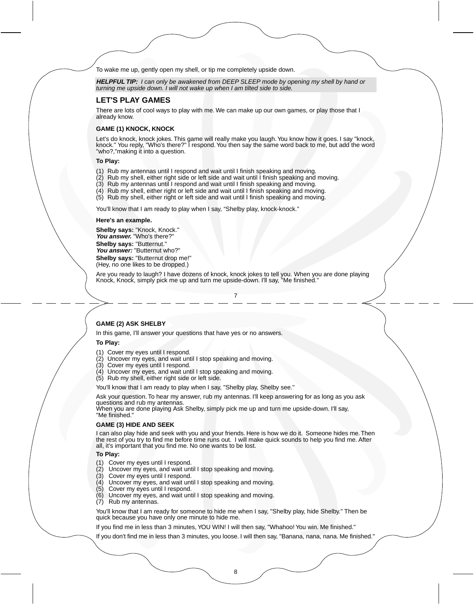To wake me up, gently open my shell, or tip me completely upside down.

**HELPFUL TIP:** I can only be awakened from DEEP SLEEP mode by opening my shell by hand or turning me upside down. I will not wake up when I am tilted side to side.

#### **LET'S PLAY GAMES**

There are lots of cool ways to play with me. We can make up our own games, or play those that I already know.

#### **GAME (1) KNOCK, KNOCK**

Let's do knock, knock jokes. This game will really make you laugh. You know how it goes. I say "knock,<br>knock." You reply, "Who's there?" I respond. You then say the same word back to me, but add the word<br>"who?,"making it i

#### **To Play:**

- (1) Rub my antennas until I respond and wait until I finish speaking and moving.
- (2) Rub my shell, either right side or left side and wait until I finish speaking and moving.
- (3) Rub my antennas until I respond and wait until I finish speaking and moving.
- (4) Rub my shell, either right or left side and wait until I finish speaking and moving.
- (5) Rub my shell, either right or left side and wait until I finish speaking and moving.

You'll know that I am ready to play when I say, "Shelby play, knock-knock."

#### **Here's an example.**

**Shelby says:** "Knock, Knock." **You answer.** "Who's there?" **Shelby says:** "Butternut." **You answer:** "Butternut who?"

**Shelby says:** "Butternut drop me!" (Hey, no one likes to be dropped.)

Are you ready to laugh? I have dozens of knock, knock jokes to tell you. When you are done playing Knock, Knock, simply pick me up and turn me upside-down. I'll say, "Me finished."

#### 7

#### **GAME (2) ASK SHELBY**

In this game, I'll answer your questions that have yes or no answers.

#### **To Play:**

- (1) Cover my eyes until I respond.
- (2) Uncover my eyes, and wait until I stop speaking and moving.
- (3) Cover my eyes until I respond.
- (4) Uncover my eyes, and wait until I stop speaking and moving.
- (5) Rub my shell, either right side or left side.

You'll know that I am ready to play when I say, "Shelby play, Shelby see."

Ask your question. To hear my answer, rub my antennas. I'll keep answering for as long as you ask questions and rub my antennas.

When you are done playing Ask Shelby, simply pick me up and turn me upside-down. I'll say, "Me finished."

#### **GAME (3) HIDE AND SEEK**

I can also play hide and seek with you and your friends. Here is how we do it. Someone hides me. Then the rest of you try to find me before time runs out. I will make quick sounds to help you find me. After all, it's important that you find me. No one wants to be lost.

#### **To Play:**

- (1) Cover my eyes until I respond.
- (2) Uncover my eyes, and wait until I stop speaking and moving.
- (3) Cover my eyes until I respond.
- (4) Uncover my eyes, and wait until I stop speaking and moving.
- (5) Cover my eyes until I respond.
- (6) Uncover my eyes, and wait until I stop speaking and moving.
- (7) Rub my antennas.

You'll know that I am ready for someone to hide me when I say, "Shelby play, hide Shelby." Then be quick because you have only one minute to hide me.

If you find me in less than 3 minutes, YOU WIN! I will then say, "Whahoo! You win. Me finished."

If you don't find me in less than 3 minutes, you loose. I will then say, "Banana, nana, nana. Me finished."

8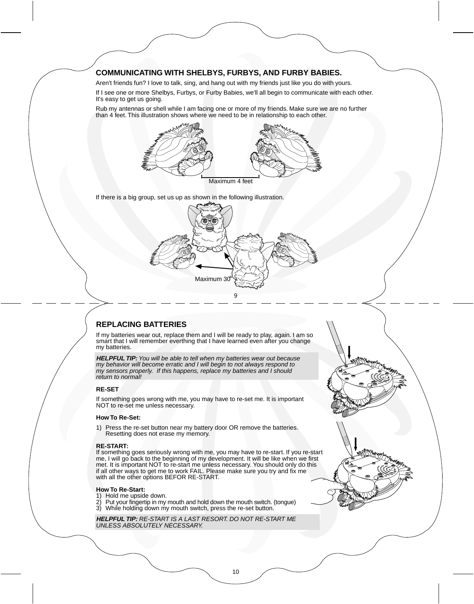## **COMMUNICATING WITH SHELBYS, FURBYS, AND FURBY BABIES.**

Aren't friends fun? I love to talk, sing, and hang out with my friends just like you do with yours.

If I see one or more Shelbys, Furbys, or Furby Babies, we'll all begin to communicate with each other. It's easy to get us going.

Rub my antennas or shell while I am facing one or more of my friends. Make sure we are no further than 4 feet. This illustration shows where we need to be in relationship to each other.



If there is a big group, set us up as shown in the following illustration.



## **REPLACING BATTERIES**

If my batteries wear out, replace them and I will be ready to play, again. I am so smart that I will remember everthing that I have learned even after you change my batteries.

**HELPFUL TIP:** You will be able to tell when my batteries wear out because must be the my behavior will become erratic and I will begin to not always respond to my sensors properly. If this happens, replace my batteries and I should return to normal!

#### **RE-SET**

If something goes wrong with me, you may have to re-set me. It is important NOT to re-set me unless necessary.

#### **How To Re-Set:**

1) Press the re-set button near my battery door OR remove the batteries. Resetting does not erase my memory.

#### **RE-START:**

If something goes seriously wrong with me, you may have to re-start. If you re-start me, I will go back to the beginning of my development. It will be like when we first met. It is important NOT to re-start me unless necessary. You should only do this if all other ways to get me to work FAIL. Please make sure you try and fix me with all the other options BEFOR RE-START.

#### **How To Re-Start:**

- 
- 1) Hold me upside down. 2) Put your fingertip in my mouth and hold down the mouth switch. (tongue) 3) While holding down my mouth switch, press the re-set button.

**HELPFUL TIP:** RE-START IS A LAST RESORT. DO NOT RE-START ME UNLESS ABSOLUTELY NECESSARY.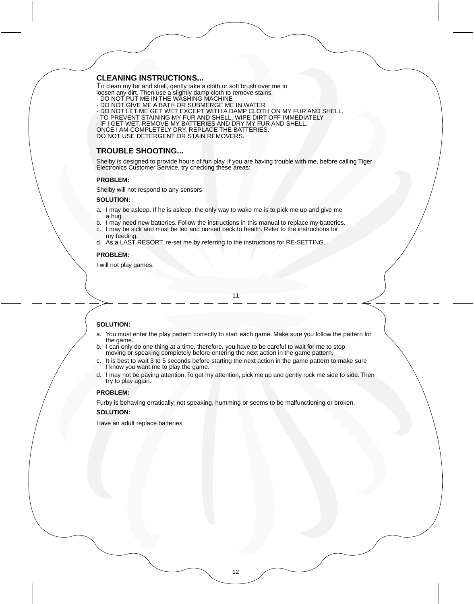#### **CLEANING INSTRUCTIONS...**

To clean my fur and shell, gently take a cloth or soft brush over me to loosen any dirt. Then use a slightly damp cloth to remove stains. - DO NOT PUT ME IN THE WASHING MACHINE

- DO NOT GIVE ME A BATH OR SUBMERGE ME IN WATER
- 
- DO NOT LET ME GET WET EXCEPT WITH A DAMP CLOTH ON MY FUR AND SHELL.<br>- TO PREVENT STAINING MY FUR AND SHELL, WIPE DIRT OFF IMMEDIATELY<br>- IF I GET WET, REMOVE MY BATTERIES AND DRY MY FUR AND SHELL.
- 
- 

ONCE I AM COMPLETELY DRY, REPLACE THE BATTERIES. DO NOT USE DETERGENT OR STAIN REMOVERS.

## **TROUBLE SHOOTING...**

Shelby is designed to provide hours of fun play. If you are having trouble with me, before calling Tiger Electronics Customer Service, try checking these areas:

#### **PROBLEM:**

Shelby will not respond to any sensors

#### **SOLUTION:**

- a. I may be asleep. If he is asleep, the only way to wake me is to pick me up and give me a hug.
- b. I may need new batteries. Follow the instructions in this manual to replace my batteries. c. I may be sick and must be fed and nursed back to health. Refer to the instructions for
- my feeding. d. As a LAST RESORT, re-set me by referring to the instructions for RE-SETTING.

#### **PROBLEM:**

I will not play games.

#### 11

#### **SOLUTION:**

- a. You must enter the play pattern correctly to start each game. Make sure you follow the pattern for the game.
- b. I can only do one thing at a time, therefore, you have to be careful to wait for me to stop moving or speaking completely before entering the next action in the game pattern.
- c. It is best to wait 3 to 5 seconds before starting the next action in the game pattern to make sure I know you want me to play the game.
- d. I may not be paying attention. To get my attention, pick me up and gently rock me side to side. Then try to play again.

#### **PROBLEM:**

Furby is behaving erratically, not speaking, humming or seems to be malfunctioning or broken. **SOLUTION:**

Have an adult replace batteries.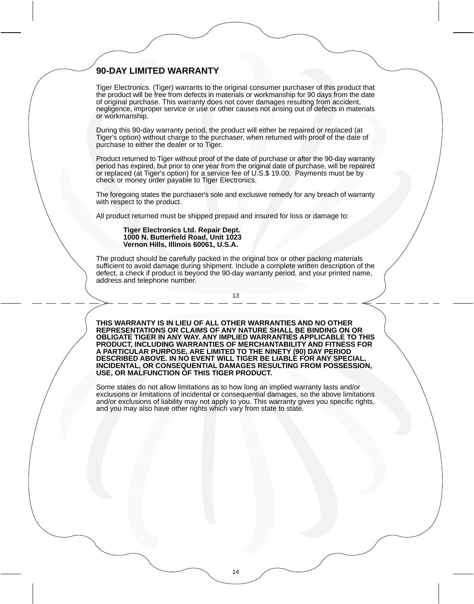## **90-DAY LIMITED WARRANTY**

Tiger Electronics. (Tiger) warrants to the original consumer purchaser of this product that the product will be free from defects in materials or workmanship for 90 days from the date of original purchase. This warranty does not cover damages resulting from accident, negligence, improper service or use or other causes not arising out of defects in materials or workmanship.

During this 90-day warranty period, the product will either be repaired or replaced (at Tiger's option) without charge to the purchaser, when returned with proof of the date of purchase to either the dealer or to Tiger.

Product returned to Tiger without proof of the date of purchase or after the 90-day warranty period has expired, but prior to one year from the original date of purchase, will be repaired or replaced (at Tiger's option) for a service fee of U.S.\$ 19.00. Payments must be by check or money order payable to Tiger Electronics.

The foregoing states the purchaser's sole and exclusive remedy for any breach of warranty with respect to the product.

All product returned must be shipped prepaid and insured for loss or damage to:

#### **Tiger Electronics Ltd. Repair Dept. 1000 N. Butterfield Road, Unit 1023 Vernon Hills, Illinois 60061, U.S.A.**

The product should be carefully packed in the original box or other packing materials sufficient to avoid damage during shipment. Include a complete written description of the defect, a check if product is beyond the 90-day warranty period, and your printed name, address and telephone number.

13

**THIS WARRANTY IS IN LIEU OF ALL OTHER WARRANTIES AND NO OTHER REPRESENTATIONS OR CLAIMS OF ANY NATURE SHALL BE BINDING ON OR OBLIGATE TIGER IN ANY WAY. ANY IMPLIED WARRANTIES APPLICABLE TO THIS PRODUCT, INCLUDING WARRANTIES OF MERCHANTABILITY AND FITNESS FOR A PARTICULAR PURPOSE, ARE LIMITED TO THE NINETY (90) DAY PERIOD DESCRIBED ABOVE. IN NO EVENT WILL TIGER BE LIABLE FOR ANY SPECIAL, INCIDENTAL, OR CONSEQUENTIAL DAMAGES RESULTING FROM POSSESSION, USE, OR MALFUNCTION OF THIS TIGER PRODUCT.**

Some states do not allow limitations as to how long an implied warranty lasts and/or exclusions or limitations of incidental or consequential damages, so the above limitations and/or exclusions of liability may not apply to you. This warranty gives you specific rights, and you may also have other rights which vary from state to state.